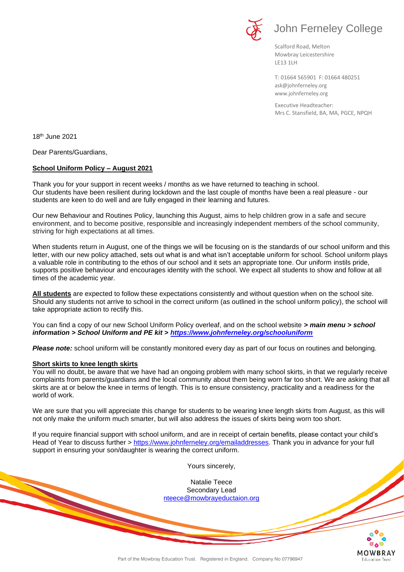

# John Ferneley College

Scalford Road, Melton Mowbray Leicestershire LE13 1LH

[ask@johnferneley.org](mailto:ask@johnferneley.org) [www.johnferneley.org](http://www.johnferneley.org/) T: 01664 565901 F: 01664 480251

 Executive Headteacher: Mrs C. Stansfield, BA, MA, PGCE, NPQH

18th June 2021

Dear Parents/Guardians,

#### **School Uniform Policy – August 2021**

Thank you for your support in recent weeks / months as we have returned to teaching in school. Our students have been resilient during lockdown and the last couple of months have been a real pleasure - our students are keen to do well and are fully engaged in their learning and futures.

Our new Behaviour and Routines Policy, launching this August, aims to help children grow in a safe and secure environment, and to become positive, responsible and increasingly independent members of the school community, striving for high expectations at all times.

When students return in August, one of the things we will be focusing on is the standards of our school uniform and this letter, with our new policy attached, sets out what is and what isn't acceptable uniform for school. School uniform plays a valuable role in contributing to the ethos of our school and it sets an appropriate tone. Our uniform instils pride, supports positive behaviour and encourages identity with the school. We expect all students to show and follow at all times of the academic year.

**All students** are expected to follow these expectations consistently and without question when on the school site. Should any students not arrive to school in the correct uniform (as outlined in the school uniform policy), the school will take appropriate action to rectify this.

You can find a copy of our new School Uniform Policy overleaf, and on the school website *> main menu > school information > School Uniform and PE kit ><https://www.johnferneley.org/schooluniform>*

*Please note:* school uniform will be constantly monitored every day as part of our focus on routines and belonging.

#### **Short skirts to knee length skirts**

You will no doubt, be aware that we have had an ongoing problem with many school skirts, in that we regularly receive complaints from parents/guardians and the local community about them being worn far too short. We are asking that all skirts are at or below the knee in terms of length. This is to ensure consistency, practicality and a readiness for the world of work.

We are sure that you will appreciate this change for students to be wearing knee length skirts from August, as this will not only make the uniform much smarter, but will also address the issues of skirts being worn too short.

If you require financial support with school uniform, and are in receipt of certain benefits, please contact your child's Head of Year to discuss further > [https://www.johnferneley.org/emailaddresses.](https://www.johnferneley.org/emailaddresses) Thank you in advance for your full support in ensuring your son/daughter is wearing the correct uniform.

Yours sincerely,

Natalie Teece Secondary Lead [nteece@mowbrayeductaion.org](mailto:nteece@mowbrayeductaion.org)

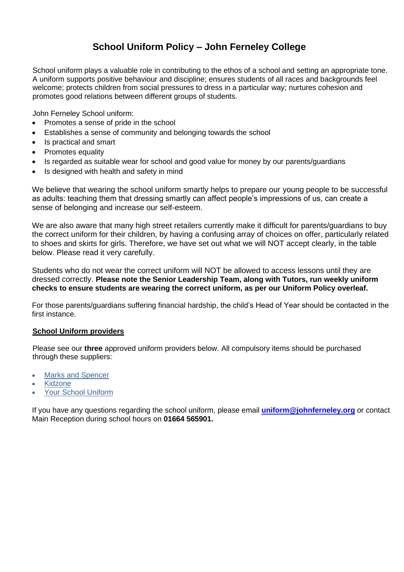# **School Uniform Policy – John Ferneley College**

School uniform plays a valuable role in contributing to the ethos of a school and setting an appropriate tone. A uniform supports positive behaviour and discipline; ensures students of all races and backgrounds feel welcome; protects children from social pressures to dress in a particular way; nurtures cohesion and promotes good relations between different groups of students.

John Ferneley School uniform:

- Promotes a sense of pride in the school
- Establishes a sense of community and belonging towards the school
- Is practical and smart
- Promotes equality
- Is regarded as suitable wear for school and good value for money by our parents/guardians
- Is designed with health and safety in mind

We believe that wearing the school uniform smartly helps to prepare our young people to be successful as adults: teaching them that dressing smartly can affect people's impressions of us, can create a sense of belonging and increase our self-esteem.

We are also aware that many high street retailers currently make it difficult for parents/guardians to buy the correct uniform for their children, by having a confusing array of choices on offer, particularly related to shoes and skirts for girls. Therefore, we have set out what we will NOT accept clearly, in the table below. Please read it very carefully.

Students who do not wear the correct uniform will NOT be allowed to access lessons until they are dressed correctly. **Please note the Senior Leadership Team, along with Tutors, run weekly uniform checks to ensure students are wearing the correct uniform, as per our Uniform Policy overleaf.**

For those parents/guardians suffering financial hardship, the child's Head of Year should be contacted in the first instance.

#### **School Uniform providers**

Please see our **three** approved uniform providers below. All compulsory items should be purchased through these suppliers:

- **[Marks and](https://www.mandsyourschooluniform.com/m-s-uniform/uniform-by-school/leicestershire-warwickshire/john-ferneley-college/5637147647.c) Spenc[er](https://www.mandsyourschooluniform.com/m-s-uniform/uniform-by-school/leicestershire-warwickshire/john-ferneley-college/5637147647.c)**
- [Kidzone](https://www.facebook.com/pages/Kidzone-melton/420230858025104)
- [Your School Uniform](http://yourschooluniform.com/)

If you have any questions regarding the school uniform, please email **[uniform@johnferneley.org](mailto:uniform@johnferneley.org)** or contact Main Reception during school hours on **01664 565901.**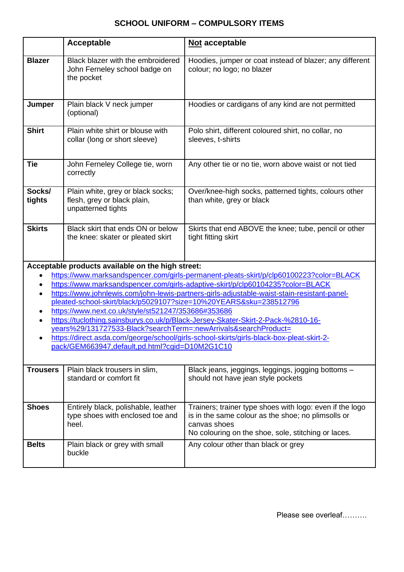## **SCHOOL UNIFORM – COMPULSORY ITEMS**

|                                                                                                                                                                                                                                                                                                                                                                                                                                                                                                                                                                                                                                                                                                                                                                              | <b>Acceptable</b>                                                                      | Not acceptable                                                                                                                                                                        |  |  |
|------------------------------------------------------------------------------------------------------------------------------------------------------------------------------------------------------------------------------------------------------------------------------------------------------------------------------------------------------------------------------------------------------------------------------------------------------------------------------------------------------------------------------------------------------------------------------------------------------------------------------------------------------------------------------------------------------------------------------------------------------------------------------|----------------------------------------------------------------------------------------|---------------------------------------------------------------------------------------------------------------------------------------------------------------------------------------|--|--|
| <b>Blazer</b>                                                                                                                                                                                                                                                                                                                                                                                                                                                                                                                                                                                                                                                                                                                                                                | Black blazer with the embroidered<br>John Ferneley school badge on<br>the pocket       | Hoodies, jumper or coat instead of blazer; any different<br>colour; no logo; no blazer                                                                                                |  |  |
| Jumper                                                                                                                                                                                                                                                                                                                                                                                                                                                                                                                                                                                                                                                                                                                                                                       | Plain black V neck jumper<br>(optional)                                                | Hoodies or cardigans of any kind are not permitted                                                                                                                                    |  |  |
| <b>Shirt</b>                                                                                                                                                                                                                                                                                                                                                                                                                                                                                                                                                                                                                                                                                                                                                                 | Plain white shirt or blouse with<br>collar (long or short sleeve)                      | Polo shirt, different coloured shirt, no collar, no<br>sleeves, t-shirts                                                                                                              |  |  |
| <b>Tie</b>                                                                                                                                                                                                                                                                                                                                                                                                                                                                                                                                                                                                                                                                                                                                                                   | John Ferneley College tie, worn<br>correctly                                           | Any other tie or no tie, worn above waist or not tied                                                                                                                                 |  |  |
| Socks/<br>tights                                                                                                                                                                                                                                                                                                                                                                                                                                                                                                                                                                                                                                                                                                                                                             | Plain white, grey or black socks;<br>flesh, grey or black plain,<br>unpatterned tights | Over/knee-high socks, patterned tights, colours other<br>than white, grey or black                                                                                                    |  |  |
| <b>Skirts</b>                                                                                                                                                                                                                                                                                                                                                                                                                                                                                                                                                                                                                                                                                                                                                                | Black skirt that ends ON or below<br>the knee: skater or pleated skirt                 | Skirts that end ABOVE the knee; tube, pencil or other<br>tight fitting skirt                                                                                                          |  |  |
| Acceptable products available on the high street:<br>https://www.marksandspencer.com/girls-permanent-pleats-skirt/p/clp60100223?color=BLACK<br>https://www.marksandspencer.com/girls-adaptive-skirt/p/clp60104235?color=BLACK<br>https://www.johnlewis.com/john-lewis-partners-girls-adjustable-waist-stain-resistant-panel-<br>pleated-school-skirt/black/p5029107?size=10%20YEARS&sku=238512796<br>https://www.next.co.uk/style/st521247/353686#353686<br>https://tuclothing.sainsburys.co.uk/p/Black-Jersey-Skater-Skirt-2-Pack-%2810-16-<br>$\bullet$<br>years%29/131727533-Black?searchTerm=:newArrivals&searchProduct=<br>https://direct.asda.com/george/school/girls-school-skirts/girls-black-box-pleat-skirt-2-<br>pack/GEM663947, default, pd.html?cgid=D10M2G1C10 |                                                                                        |                                                                                                                                                                                       |  |  |
| <b>Trousers</b>                                                                                                                                                                                                                                                                                                                                                                                                                                                                                                                                                                                                                                                                                                                                                              | Plain black trousers in slim,<br>standard or comfort fit                               | Black jeans, jeggings, leggings, jogging bottoms -<br>should not have jean style pockets                                                                                              |  |  |
| <b>Shoes</b>                                                                                                                                                                                                                                                                                                                                                                                                                                                                                                                                                                                                                                                                                                                                                                 | Entirely black, polishable, leather<br>type shoes with enclosed toe and<br>heel.       | Trainers; trainer type shoes with logo: even if the logo<br>is in the same colour as the shoe; no plimsolls or<br>canvas shoes<br>No colouring on the shoe, sole, stitching or laces. |  |  |
| <b>Belts</b>                                                                                                                                                                                                                                                                                                                                                                                                                                                                                                                                                                                                                                                                                                                                                                 | Plain black or grey with small<br>buckle                                               | Any colour other than black or grey                                                                                                                                                   |  |  |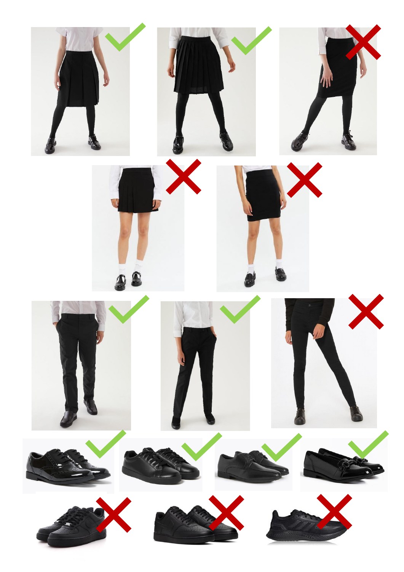